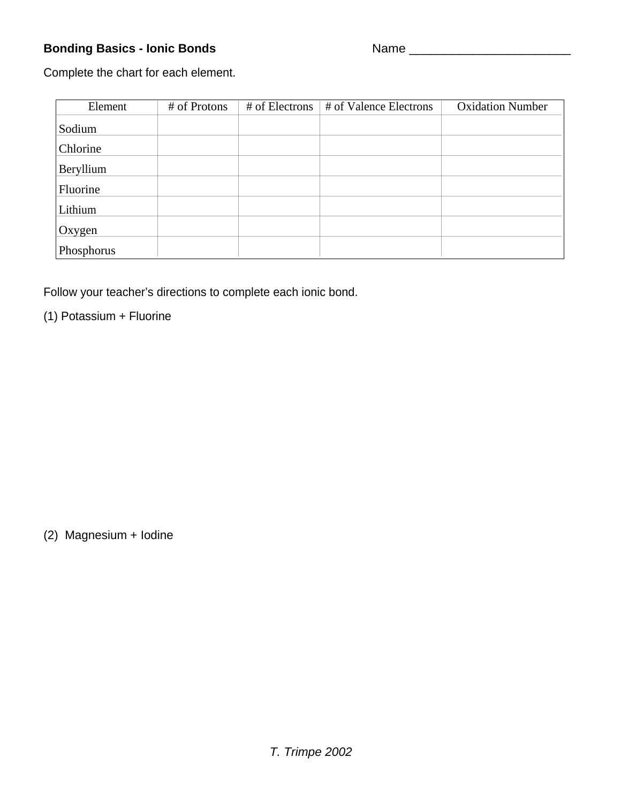## **Bonding Basics - Ionic Bonds** Name \_\_\_\_\_\_\_\_\_\_\_\_\_\_\_\_\_\_\_\_\_\_\_

Complete the chart for each element.

| Element    | # of Protons | # of Electrons | # of Valence Electrons | <b>Oxidation Number</b> |
|------------|--------------|----------------|------------------------|-------------------------|
| Sodium     |              |                |                        |                         |
| Chlorine   |              |                |                        |                         |
| Beryllium  |              |                |                        |                         |
| Fluorine   |              |                |                        |                         |
| Lithium    |              |                |                        |                         |
| Oxygen     |              |                |                        |                         |
| Phosphorus |              |                |                        |                         |

Follow your teacher's directions to complete each ionic bond.

(1) Potassium + Fluorine

(2) Magnesium + Iodine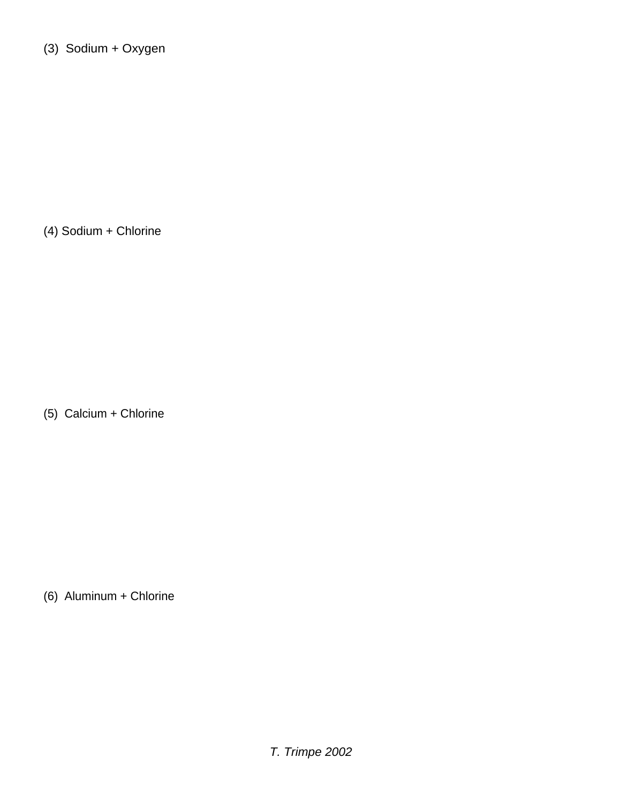(3) Sodium + Oxygen

(4) Sodium + Chlorine

(5) Calcium + Chlorine

(6) Aluminum + Chlorine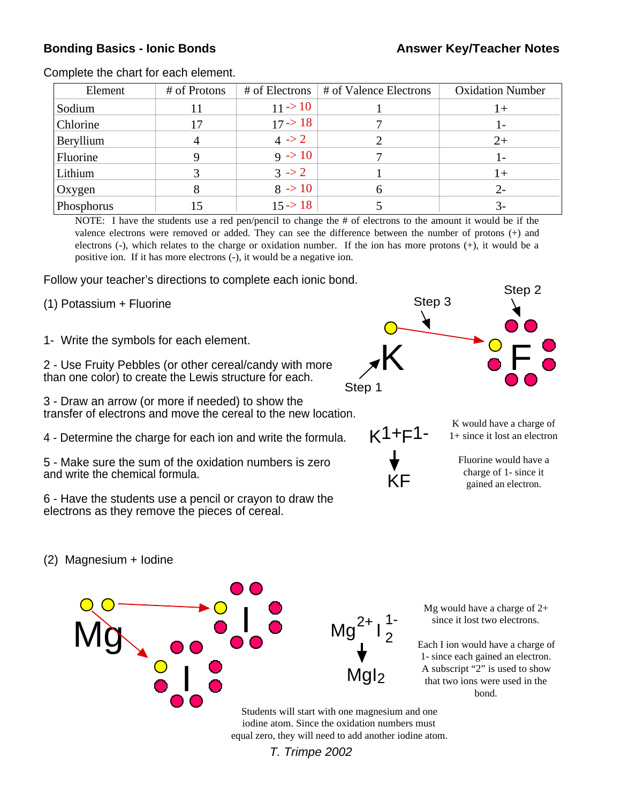## **Bonding Basics - Ionic Bonds Answer Key/Teacher Notes**

| Element    | # of Protons | $#$ of Electrons $ $ | # of Valence Electrons | <b>Oxidation Number</b> |
|------------|--------------|----------------------|------------------------|-------------------------|
| Sodium     |              | $11 - > 10$          |                        | $1 +$                   |
| Chlorine   |              | 17 > 18              |                        | ı –                     |
| Beryllium  |              | 4 > 2                |                        | $2+$                    |
| Fluorine   |              | $9 \div 10$          |                        |                         |
| Lithium    |              | $3 \rightarrow 2$    |                        | $+$                     |
| Oxygen     |              | $8 \div 10$          |                        | $2-$                    |
| Phosphorus |              | $15 \rightarrow 18$  |                        |                         |

Complete the chart for each element.

NOTE: I have the students use a red pen/pencil to change the # of electrons to the amount it would be if the valence electrons were removed or added. They can see the difference between the number of protons (+) and electrons (-), which relates to the charge or oxidation number. If the ion has more protons (+), it would be a positive ion. If it has more electrons (-), it would be a negative ion.

Follow your teacher's directions to complete each ionic bond.

- (1) Potassium + Fluorine
- 1- Write the symbols for each element.

2 - Use Fruity Pebbles (or other cereal/candy with more than one color) to create the Lewis structure for each.

3 - Draw an arrow (or more if needed) to show the transfer of electrons and move the cereal to the new location.

4 - Determine the charge for each ion and write the formula.

5 - Make sure the sum of the oxidation numbers is zero and write the chemical formula.

6 - Have the students use a pencil or crayon to draw the electrons as they remove the pieces of cereal.





K would have a charge of 1+ since it lost an electron

Fluorine would have a charge of 1- since it gained an electron.

(2) Magnesium + Iodine



Mg would have a charge of 2+ since it lost two electrons.

Each I ion would have a charge of 1- since each gained an electron. A subscript "2" is used to show that two ions were used in the bond.

Students will start with one magnesium and one iodine atom. Since the oxidation numbers must equal zero, they will need to add another iodine atom.

T. Trimpe 2002